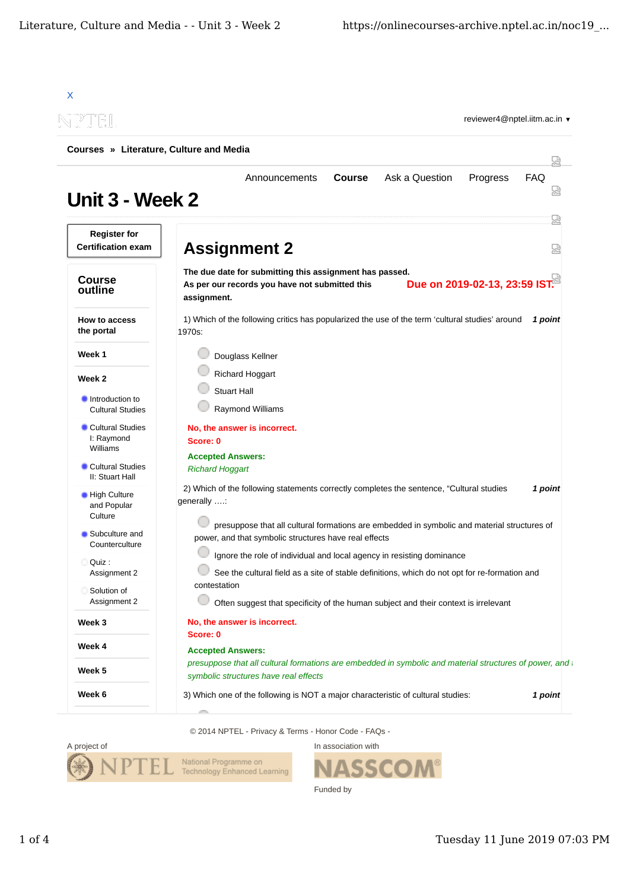|                                                  | Courses » Literature, Culture and Media                                                                                                                                                                                                                                    |         |  |
|--------------------------------------------------|----------------------------------------------------------------------------------------------------------------------------------------------------------------------------------------------------------------------------------------------------------------------------|---------|--|
|                                                  | Ask a Question<br><b>Course</b><br>Progress<br>Announcements                                                                                                                                                                                                               | FAQ     |  |
| Unit 3 - Week 2                                  |                                                                                                                                                                                                                                                                            | 덣       |  |
| <b>Register for</b><br><b>Certification exam</b> | <b>Assignment 2</b>                                                                                                                                                                                                                                                        | 2       |  |
| <b>Course</b><br>outline                         | The due date for submitting this assignment has passed.<br>Due on 2019-02-13, 23:59 IST.<br>As per our records you have not submitted this<br>assignment.                                                                                                                  |         |  |
| How to access<br>the portal                      | 1) Which of the following critics has popularized the use of the term 'cultural studies' around<br>1970s:                                                                                                                                                                  | 1 point |  |
| Week 1                                           | Douglass Kellner                                                                                                                                                                                                                                                           |         |  |
| Week 2                                           | Richard Hoggart                                                                                                                                                                                                                                                            |         |  |
| Introduction to<br><b>Cultural Studies</b>       | <b>Stuart Hall</b><br>Raymond Williams                                                                                                                                                                                                                                     |         |  |
| Cultural Studies<br>I: Raymond<br>Williams       | No, the answer is incorrect.<br>Score: 0                                                                                                                                                                                                                                   |         |  |
| Cultural Studies                                 | <b>Accepted Answers:</b><br><b>Richard Hoggart</b>                                                                                                                                                                                                                         |         |  |
| II: Stuart Hall<br>High Culture<br>and Popular   | 2) Which of the following statements correctly completes the sentence, "Cultural studies<br>1 point<br>generally :<br>presuppose that all cultural formations are embedded in symbolic and material structures of<br>power, and that symbolic structures have real effects |         |  |
| Culture<br>Subculture and<br>Counterculture      |                                                                                                                                                                                                                                                                            |         |  |
| Quiz:                                            | Ignore the role of individual and local agency in resisting dominance                                                                                                                                                                                                      |         |  |
| Assignment 2<br>Solution of<br>Assignment 2      | See the cultural field as a site of stable definitions, which do not opt for re-formation and<br>contestation<br>Often suggest that specificity of the human subject and their context is irrelevant                                                                       |         |  |
| Week 3                                           | No, the answer is incorrect.                                                                                                                                                                                                                                               |         |  |
| Week 4                                           | Score: 0                                                                                                                                                                                                                                                                   |         |  |
| Week 5                                           | <b>Accepted Answers:</b><br>presuppose that all cultural formations are embedded in symbolic and material structures of power, and<br>symbolic structures have real effects                                                                                                |         |  |
|                                                  |                                                                                                                                                                                                                                                                            |         |  |

© 2014 NPTEL - Privacy & Terms - Honor Code - FAQs -



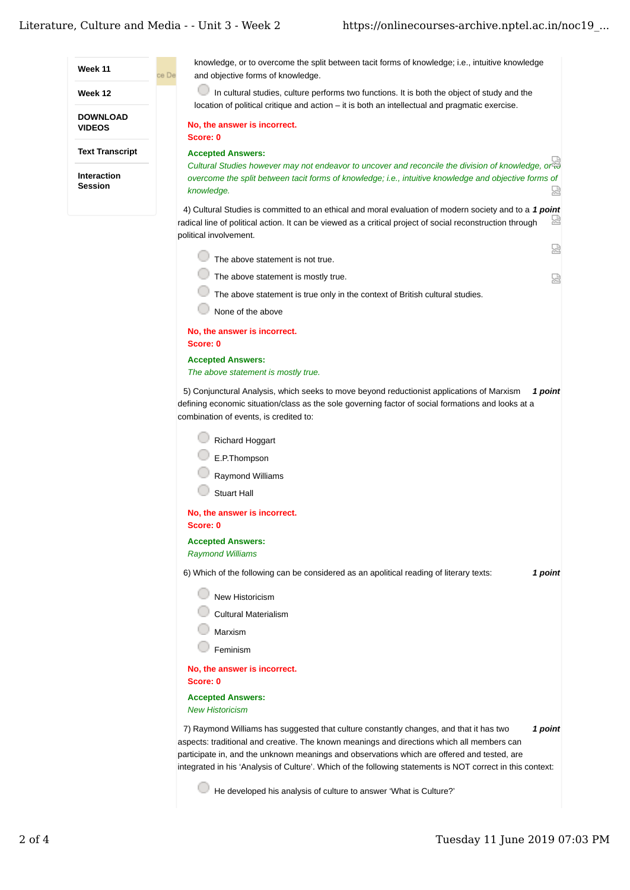| Week 11                              | knowledge, or to overcome the split between tacit forms of knowledge; i.e., intuitive knowledge<br>ce De<br>and objective forms of knowledge.                                                                                                                                                                                                                                                                |
|--------------------------------------|--------------------------------------------------------------------------------------------------------------------------------------------------------------------------------------------------------------------------------------------------------------------------------------------------------------------------------------------------------------------------------------------------------------|
| Week 12                              | In cultural studies, culture performs two functions. It is both the object of study and the<br>location of political critique and action – it is both an intellectual and pragmatic exercise.                                                                                                                                                                                                                |
| <b>DOWNLOAD</b><br><b>VIDEOS</b>     | No, the answer is incorrect.<br>Score: 0                                                                                                                                                                                                                                                                                                                                                                     |
| <b>Text Transcript</b>               | <b>Accepted Answers:</b>                                                                                                                                                                                                                                                                                                                                                                                     |
| <b>Interaction</b><br><b>Session</b> | Cultural Studies however may not endeavor to uncover and reconcile the division of knowledge, or a<br>overcome the split between tacit forms of knowledge; i.e., intuitive knowledge and objective forms of<br>넓<br>knowledge.                                                                                                                                                                               |
|                                      | 4) Cultural Studies is committed to an ethical and moral evaluation of modern society and to a 1 point<br>X<br>radical line of political action. It can be viewed as a critical project of social reconstruction through<br>political involvement.                                                                                                                                                           |
|                                      | ఏ<br>The above statement is not true.                                                                                                                                                                                                                                                                                                                                                                        |
|                                      | The above statement is mostly true.                                                                                                                                                                                                                                                                                                                                                                          |
|                                      | 덣                                                                                                                                                                                                                                                                                                                                                                                                            |
|                                      | The above statement is true only in the context of British cultural studies.                                                                                                                                                                                                                                                                                                                                 |
|                                      | None of the above                                                                                                                                                                                                                                                                                                                                                                                            |
|                                      | No, the answer is incorrect.<br>Score: 0                                                                                                                                                                                                                                                                                                                                                                     |
|                                      | <b>Accepted Answers:</b><br>The above statement is mostly true.                                                                                                                                                                                                                                                                                                                                              |
|                                      | 5) Conjunctural Analysis, which seeks to move beyond reductionist applications of Marxism<br>1 point<br>defining economic situation/class as the sole governing factor of social formations and looks at a<br>combination of events, is credited to:                                                                                                                                                         |
|                                      | Richard Hoggart<br>E.P.Thompson<br>Raymond Williams<br><b>Stuart Hall</b><br>No, the answer is incorrect.                                                                                                                                                                                                                                                                                                    |
|                                      | Score: 0                                                                                                                                                                                                                                                                                                                                                                                                     |
|                                      | <b>Accepted Answers:</b><br><b>Raymond Williams</b>                                                                                                                                                                                                                                                                                                                                                          |
|                                      | 6) Which of the following can be considered as an apolitical reading of literary texts:<br>1 point                                                                                                                                                                                                                                                                                                           |
|                                      | New Historicism<br><b>Cultural Materialism</b>                                                                                                                                                                                                                                                                                                                                                               |
|                                      | Marxism                                                                                                                                                                                                                                                                                                                                                                                                      |
|                                      | Feminism                                                                                                                                                                                                                                                                                                                                                                                                     |
|                                      | No, the answer is incorrect.<br>Score: 0                                                                                                                                                                                                                                                                                                                                                                     |
|                                      | <b>Accepted Answers:</b><br><b>New Historicism</b>                                                                                                                                                                                                                                                                                                                                                           |
|                                      | 7) Raymond Williams has suggested that culture constantly changes, and that it has two<br>1 point<br>aspects: traditional and creative. The known meanings and directions which all members can<br>participate in, and the unknown meanings and observations which are offered and tested, are<br>integrated in his 'Analysis of Culture'. Which of the following statements is NOT correct in this context: |
|                                      | He developed his analysis of culture to answer 'What is Culture?'                                                                                                                                                                                                                                                                                                                                            |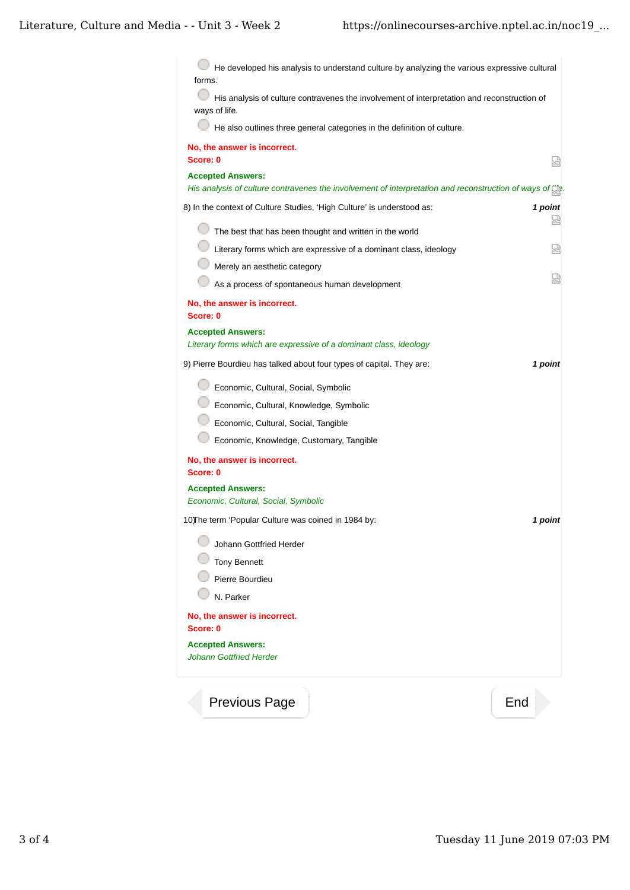$\bigcirc$  He developed his analysis to understand culture by analyzing the various expressive cultural forms. His analysis of culture contravenes the involvement of interpretation and reconstruction of ways of life.  $\Box$  He also outlines three general categories in the definition of culture. **No, the answer is incorrect. Score: 0** 赑 **Accepted Answers:** *His analysis of culture contravenes the involvement of interpretation and reconstruction of ways of life.* 8) *1 point* In the context of Culture Studies, 'High Culture' is understood as: 덨  $\Box$  The best that has been thought and written in the world Literary forms which are expressive of a dominant class, ideology 恩 **Merely an aesthetic category** 赑 As a process of spontaneous human development **No, the answer is incorrect. Score: 0 Accepted Answers:** *Literary forms which are expressive of a dominant class, ideology* 9) *1 point* Pierre Bourdieu has talked about four types of capital. They are: Economic, Cultural, Social, Symbolic Economic, Cultural, Knowledge, Symbolic Economic, Cultural, Social, Tangible Economic, Knowledge, Customary, Tangible **No, the answer is incorrect. Score: 0 Accepted Answers:** *Economic, Cultural, Social, Symbolic* 10) *1 point* The term 'Popular Culture was coined in 1984 by: **Johann Gottfried Herder Tony Bennett Pierre Bourdieu** N. Parker **No, the answer is incorrect. Score: 0 Accepted Answers:** *Johann Gottfried Herder* Previous Page Figure 2012 and End